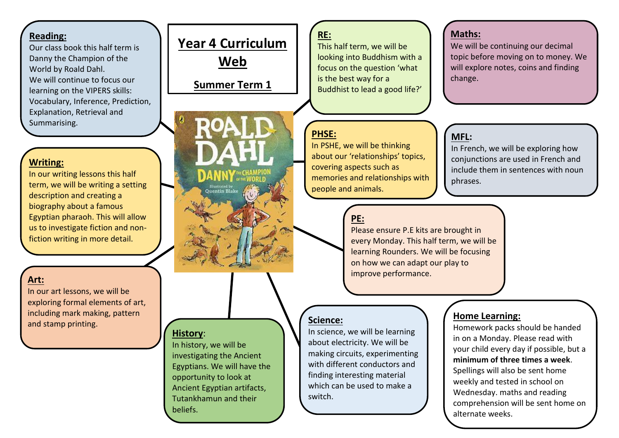#### **Reading:**

Our class book this half term is Danny the Champion of the World by Roald Dahl. We will continue to focus our learning on the VIPERS skills: Vocabulary, Inference, Prediction, Explanation, Retrieval and Summarising.

## **Writing:**

In our writing lessons this half term, we will be writing a setting description and creating a biography about a famous Egyptian pharaoh. This will allow us to investigate fiction and nonfiction writing in more detail.

## **Art:**

In our art lessons, we will be exploring formal elements of art, including mark making, pattern and stamp printing.

# **Year 4 Curriculum Web**

## **Summer Term 1 25th April –27th May 2022**

### **History**:

In history, we will be investigating the Ancient Egyptians. We will have the opportunity to look at Ancient Egyptian artifacts, Tutankhamun and their beliefs.

## **RE:**

This half term, we will be looking into Buddhism with a focus on the question 'what is the best way for a Buddhist to lead a good life?'

## **PHSE:**

In PSHE, we will be thinking about our 'relationships' topics, covering aspects such as memories and relationships with people and animals.

## **Maths:**

We will be continuing our decimal topic before moving on to money. We will explore notes, coins and finding change.

## **MFL:**

In French, we will be exploring how coniunctions are used in French and include them in sentences with noun phrases.

## **PE:**

Please ensure P.E kits are brought in every Monday. This half term, we will be learning Rounders. We will be focusing on how we can adapt our play to improve performance.

### **Science:**

In science, we will be learning about electricity. We will be making circuits, experimenting with different conductors and finding interesting material which can be used to make a switch.

## **Home Learning:**

Homework packs should be handed in on a Monday. Please read with your child every day if possible, but a **minimum of three times a week**. Spellings will also be sent home weekly and tested in school on Wednesday. maths and reading comprehension will be sent home on alternate weeks.